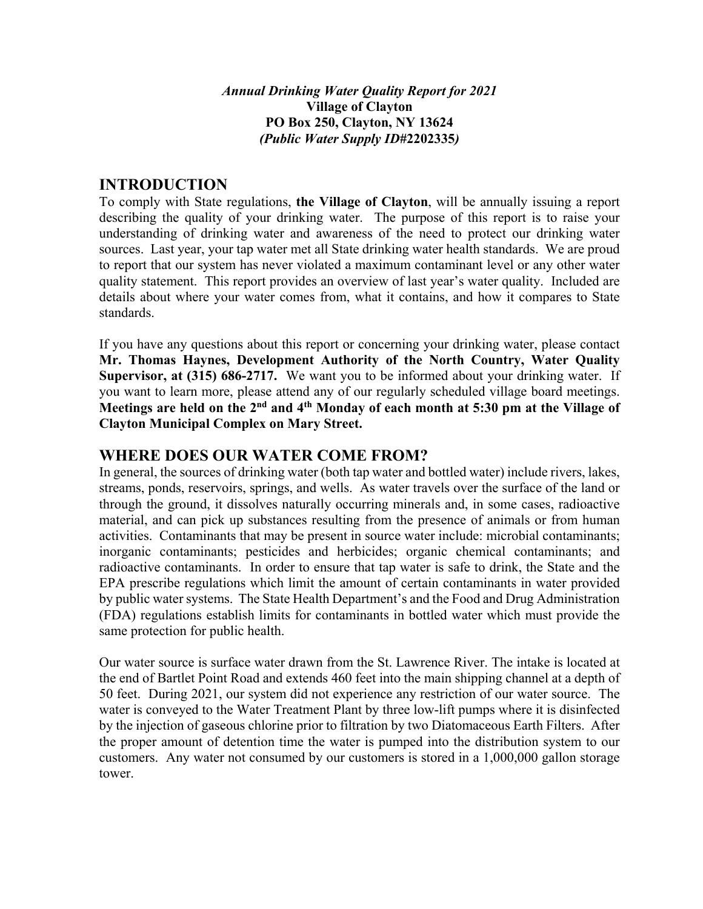#### *Annual Drinking Water Quality Report for 2021*  **Village of Clayton PO Box 250, Clayton, NY 13624**  *(Public Water Supply ID#***2202335***)*

## **INTRODUCTION**

To comply with State regulations, **the Village of Clayton**, will be annually issuing a report describing the quality of your drinking water. The purpose of this report is to raise your understanding of drinking water and awareness of the need to protect our drinking water sources. Last year, your tap water met all State drinking water health standards. We are proud to report that our system has never violated a maximum contaminant level or any other water quality statement. This report provides an overview of last year's water quality. Included are details about where your water comes from, what it contains, and how it compares to State standards.

If you have any questions about this report or concerning your drinking water, please contact **Mr. Thomas Haynes, Development Authority of the North Country, Water Quality Supervisor, at (315) 686-2717.** We want you to be informed about your drinking water. If you want to learn more, please attend any of our regularly scheduled village board meetings. Meetings are held on the 2<sup>nd</sup> and 4<sup>th</sup> Monday of each month at 5:30 pm at the Village of **Clayton Municipal Complex on Mary Street.** 

### **WHERE DOES OUR WATER COME FROM?**

In general, the sources of drinking water (both tap water and bottled water) include rivers, lakes, streams, ponds, reservoirs, springs, and wells. As water travels over the surface of the land or through the ground, it dissolves naturally occurring minerals and, in some cases, radioactive material, and can pick up substances resulting from the presence of animals or from human activities. Contaminants that may be present in source water include: microbial contaminants; inorganic contaminants; pesticides and herbicides; organic chemical contaminants; and radioactive contaminants. In order to ensure that tap water is safe to drink, the State and the EPA prescribe regulations which limit the amount of certain contaminants in water provided by public water systems. The State Health Department's and the Food and Drug Administration (FDA) regulations establish limits for contaminants in bottled water which must provide the same protection for public health.

Our water source is surface water drawn from the St. Lawrence River. The intake is located at the end of Bartlet Point Road and extends 460 feet into the main shipping channel at a depth of 50 feet. During 2021, our system did not experience any restriction of our water source. The water is conveyed to the Water Treatment Plant by three low-lift pumps where it is disinfected by the injection of gaseous chlorine prior to filtration by two Diatomaceous Earth Filters. After the proper amount of detention time the water is pumped into the distribution system to our customers. Any water not consumed by our customers is stored in a 1,000,000 gallon storage tower.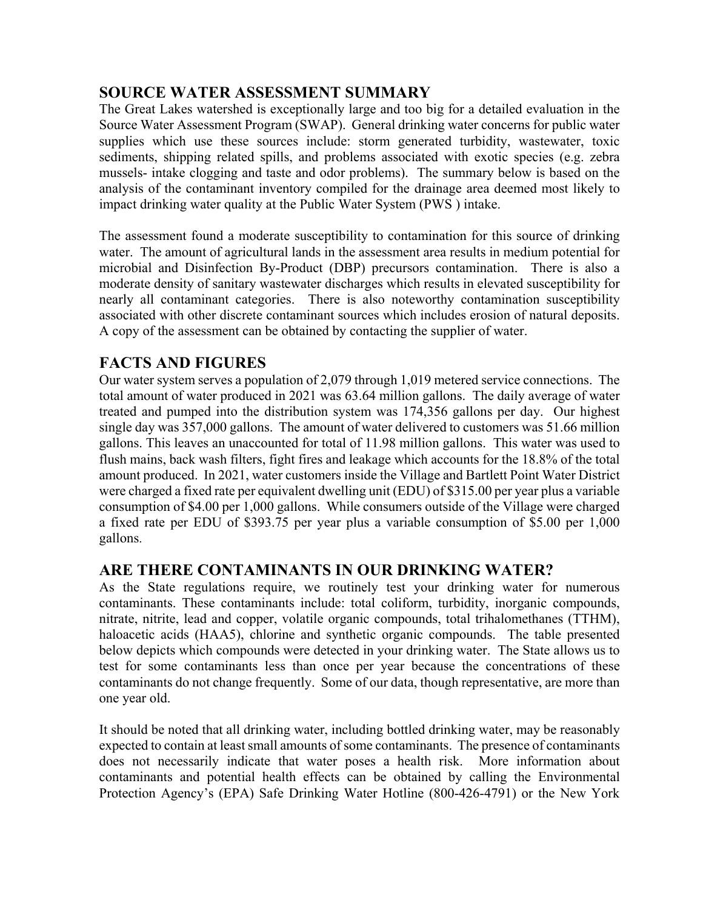## **SOURCE WATER ASSESSMENT SUMMARY**

The Great Lakes watershed is exceptionally large and too big for a detailed evaluation in the Source Water Assessment Program (SWAP). General drinking water concerns for public water supplies which use these sources include: storm generated turbidity, wastewater, toxic sediments, shipping related spills, and problems associated with exotic species (e.g. zebra mussels- intake clogging and taste and odor problems). The summary below is based on the analysis of the contaminant inventory compiled for the drainage area deemed most likely to impact drinking water quality at the Public Water System (PWS ) intake.

The assessment found a moderate susceptibility to contamination for this source of drinking water. The amount of agricultural lands in the assessment area results in medium potential for microbial and Disinfection By-Product (DBP) precursors contamination. There is also a moderate density of sanitary wastewater discharges which results in elevated susceptibility for nearly all contaminant categories. There is also noteworthy contamination susceptibility associated with other discrete contaminant sources which includes erosion of natural deposits. A copy of the assessment can be obtained by contacting the supplier of water.

### **FACTS AND FIGURES**

Our water system serves a population of 2,079 through 1,019 metered service connections. The total amount of water produced in 2021 was 63.64 million gallons. The daily average of water treated and pumped into the distribution system was 174,356 gallons per day. Our highest single day was 357,000 gallons. The amount of water delivered to customers was 51.66 million gallons. This leaves an unaccounted for total of 11.98 million gallons. This water was used to flush mains, back wash filters, fight fires and leakage which accounts for the 18.8% of the total amount produced. In 2021, water customers inside the Village and Bartlett Point Water District were charged a fixed rate per equivalent dwelling unit (EDU) of \$315.00 per year plus a variable consumption of \$4.00 per 1,000 gallons. While consumers outside of the Village were charged a fixed rate per EDU of \$393.75 per year plus a variable consumption of \$5.00 per 1,000 gallons.

## **ARE THERE CONTAMINANTS IN OUR DRINKING WATER?**

As the State regulations require, we routinely test your drinking water for numerous contaminants. These contaminants include: total coliform, turbidity, inorganic compounds, nitrate, nitrite, lead and copper, volatile organic compounds, total trihalomethanes (TTHM), haloacetic acids (HAA5), chlorine and synthetic organic compounds. The table presented below depicts which compounds were detected in your drinking water. The State allows us to test for some contaminants less than once per year because the concentrations of these contaminants do not change frequently. Some of our data, though representative, are more than one year old.

It should be noted that all drinking water, including bottled drinking water, may be reasonably expected to contain at least small amounts of some contaminants. The presence of contaminants does not necessarily indicate that water poses a health risk. More information about contaminants and potential health effects can be obtained by calling the Environmental Protection Agency's (EPA) Safe Drinking Water Hotline (800-426-4791) or the New York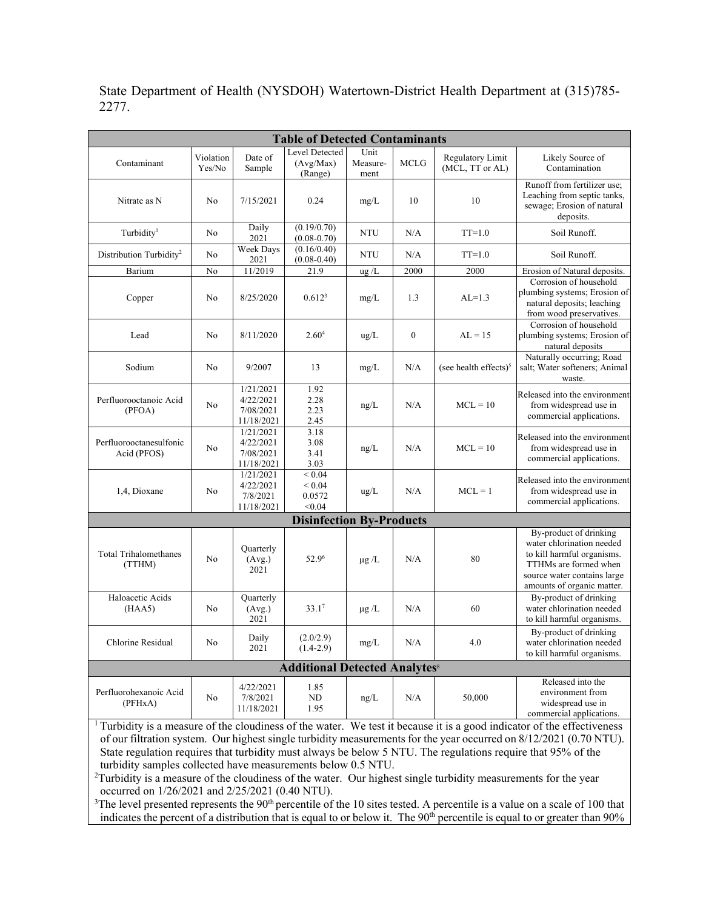| <b>Table of Detected Contaminants</b>           |                     |                                                   |                                               |                          |                  |                                     |                                                                                                                                                                         |
|-------------------------------------------------|---------------------|---------------------------------------------------|-----------------------------------------------|--------------------------|------------------|-------------------------------------|-------------------------------------------------------------------------------------------------------------------------------------------------------------------------|
| Contaminant                                     | Violation<br>Yes/No | Date of<br>Sample                                 | Level Detected<br>(Avg/Max)<br>(Range)        | Unit<br>Measure-<br>ment | <b>MCLG</b>      | Regulatory Limit<br>(MCL, TT or AL) | Likely Source of<br>Contamination                                                                                                                                       |
| Nitrate as N                                    | No                  | 7/15/2021                                         | 0.24                                          | mg/L                     | 10               | 10                                  | Runoff from fertilizer use:<br>Leaching from septic tanks,<br>sewage; Erosion of natural<br>deposits.                                                                   |
| Turbidity <sup>1</sup>                          | No                  | Daily<br>2021                                     | (0.19/0.70)<br>$(0.08 - 0.70)$                | <b>NTU</b>               | N/A              | $TT=1.0$                            | Soil Runoff.                                                                                                                                                            |
| Distribution Turbidity <sup>2</sup>             | No                  | <b>Week Days</b><br>2021                          | (0.16/0.40)<br>$(0.08 - 0.40)$                | <b>NTU</b>               | N/A              | $TT=1.0$                            | Soil Runoff.                                                                                                                                                            |
| Barium                                          | No                  | 11/2019                                           | 21.9                                          | $\frac{u}{2}$ /L         | 2000             | 2000                                | Erosion of Natural deposits.                                                                                                                                            |
| Copper                                          | No                  | 8/25/2020                                         | $0.612^{3}$                                   | mg/L                     | 1.3              | $AL=1.3$                            | Corrosion of household<br>plumbing systems; Erosion of<br>natural deposits; leaching<br>from wood preservatives.                                                        |
| Lead                                            | No                  | 8/11/2020                                         | 2.60 <sup>4</sup>                             | ug/L                     | $\boldsymbol{0}$ | $AL = 15$                           | Corrosion of household<br>plumbing systems; Erosion of<br>natural deposits                                                                                              |
| Sodium                                          | No                  | 9/2007                                            | 13                                            | mg/L                     | N/A              | (see health effects) <sup>5</sup>   | Naturally occurring; Road<br>salt; Water softeners; Animal<br>waste.                                                                                                    |
| Perfluorooctanoic Acid<br>(PFOA)                | No                  | 1/21/2021<br>4/22/2021<br>7/08/2021<br>11/18/2021 | 1.92<br>2.28<br>2.23<br>2.45                  | ng/L                     | N/A              | $MCL = 10$                          | Released into the environment<br>from widespread use in<br>commercial applications.                                                                                     |
| Perfluorooctanesulfonic<br>Acid (PFOS)          | No                  | 1/21/2021<br>4/22/2021<br>7/08/2021<br>11/18/2021 | 3.18<br>3.08<br>3.41<br>3.03                  | ng/L                     | N/A              | $MCL = 10$                          | Released into the environment<br>from widespread use in<br>commercial applications.                                                                                     |
| 1,4, Dioxane                                    | No                  | 1/21/2021<br>4/22/2021<br>7/8/2021<br>11/18/2021  | ${}_{0.04}$<br>${}< 0.04$<br>0.0572<br>< 0.04 | $\text{ug/L}$            | N/A              | $MCL = 1$                           | Released into the environment<br>from widespread use in<br>commercial applications.                                                                                     |
| <b>Disinfection By-Products</b>                 |                     |                                                   |                                               |                          |                  |                                     |                                                                                                                                                                         |
| <b>Total Trihalomethanes</b><br>(TTHM)          | No                  | Quarterly<br>(Avg.)<br>2021                       | 52.96                                         | $\mu$ g /L               | N/A              | 80                                  | By-product of drinking<br>water chlorination needed<br>to kill harmful organisms.<br>TTHMs are formed when<br>source water contains large<br>amounts of organic matter. |
| Haloacetic Acids<br>(HAA5)                      | No                  | Quarterly<br>(Avg.)<br>2021                       | 33.1 <sup>7</sup>                             | $\mu$ g /L               | N/A              | 60                                  | By-product of drinking<br>water chlorination needed<br>to kill harmful organisms.                                                                                       |
| Chlorine Residual                               | No                  | Daily<br>2021                                     | (2.0/2.9)<br>$(1.4-2.9)$                      | mg/L                     | N/A              | 4.0                                 | By-product of drinking<br>water chlorination needed<br>to kill harmful organisms.                                                                                       |
| <b>Additional Detected Analytes<sup>8</sup></b> |                     |                                                   |                                               |                          |                  |                                     |                                                                                                                                                                         |
| Perfluorohexanoic Acid<br>(PFHxA)               | No                  | 4/22/2021<br>7/8/2021<br>11/18/2021               | 1.85<br>ND<br>1.95                            | ng/L                     | N/A              | 50,000                              | Released into the<br>environment from<br>widespread use in<br>commercial applications.                                                                                  |

State Department of Health (NYSDOH) Watertown-District Health Department at (315)785- 2277.

<sup>1</sup> Turbidity is a measure of the cloudiness of the water. We test it because it is a good indicator of the effectiveness of our filtration system. Our highest single turbidity measurements for the year occurred on 8/12/2021 (0.70 NTU). State regulation requires that turbidity must always be below 5 NTU. The regulations require that 95% of the turbidity samples collected have measurements below 0.5 NTU.

<sup>2</sup>Turbidity is a measure of the cloudiness of the water. Our highest single turbidity measurements for the year occurred on 1/26/2021 and 2/25/2021 (0.40 NTU).

<sup>3</sup>The level presented represents the  $90<sup>th</sup>$  percentile of the 10 sites tested. A percentile is a value on a scale of 100 that indicates the percent of a distribution that is equal to or below it. The 90<sup>th</sup> percentile is equal to or greater than 90%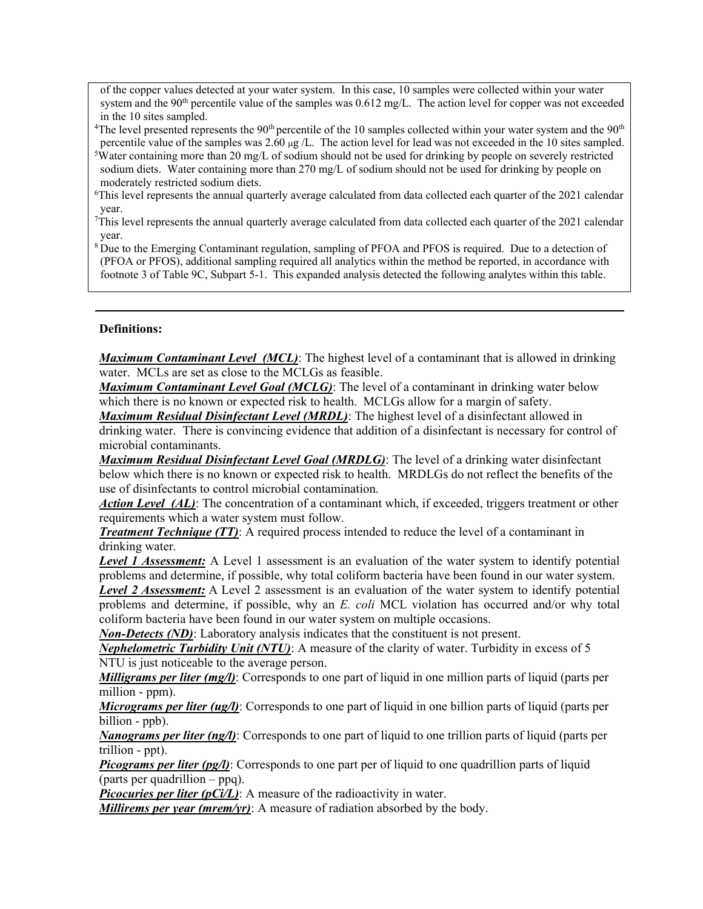of the copper values detected at your water system. In this case, 10 samples were collected within your water system and the 90<sup>th</sup> percentile value of the samples was  $0.612 \text{ mg/L}$ . The action level for copper was not exceeded in the 10 sites sampled.

<sup>4</sup>The level presented represents the 90<sup>th</sup> percentile of the 10 samples collected within your water system and the 90<sup>th</sup> percentile value of the samples was  $2.60 \mu g / L$ . The action level for lead was not exceeded in the 10 sites sampled.

Water containing more than 20 mg/L of sodium should not be used for drinking by people on severely restricted sodium diets. Water containing more than 270 mg/L of sodium should not be used for drinking by people on moderately restricted sodium diets.

6 This level represents the annual quarterly average calculated from data collected each quarter of the 2021 calendar year.

7 This level represents the annual quarterly average calculated from data collected each quarter of the 2021 calendar year.

<sup>8</sup> Due to the Emerging Contaminant regulation, sampling of PFOA and PFOS is required. Due to a detection of (PFOA or PFOS), additional sampling required all analytics within the method be reported, in accordance with footnote 3 of Table 9C, Subpart 5-1. This expanded analysis detected the following analytes within this table.

#### **Definitions:**

*Maximum Contaminant Level (MCL)*: The highest level of a contaminant that is allowed in drinking water. MCLs are set as close to the MCLGs as feasible.

*Maximum Contaminant Level Goal (MCLG)*: The level of a contaminant in drinking water below which there is no known or expected risk to health. MCLGs allow for a margin of safety.

*Maximum Residual Disinfectant Level (MRDL)*: The highest level of a disinfectant allowed in drinking water. There is convincing evidence that addition of a disinfectant is necessary for control of microbial contaminants.

*Maximum Residual Disinfectant Level Goal (MRDLG)*: The level of a drinking water disinfectant below which there is no known or expected risk to health. MRDLGs do not reflect the benefits of the use of disinfectants to control microbial contamination.

*Action Level (AL)*: The concentration of a contaminant which, if exceeded, triggers treatment or other requirements which a water system must follow.

*Treatment Technique (TT)*: A required process intended to reduce the level of a contaminant in drinking water.

**Level 1 Assessment:** A Level 1 assessment is an evaluation of the water system to identify potential problems and determine, if possible, why total coliform bacteria have been found in our water system.

*Level 2 Assessment:* A Level 2 assessment is an evaluation of the water system to identify potential problems and determine, if possible, why an *E. coli* MCL violation has occurred and/or why total coliform bacteria have been found in our water system on multiple occasions.

*Non-Detects (ND)*: Laboratory analysis indicates that the constituent is not present.

*Nephelometric Turbidity Unit (NTU)*: A measure of the clarity of water. Turbidity in excess of 5 NTU is just noticeable to the average person.

*Milligrams per liter (mg/l)*: Corresponds to one part of liquid in one million parts of liquid (parts per million - ppm).

*Micrograms per liter (ug/l)*: Corresponds to one part of liquid in one billion parts of liquid (parts per billion - ppb).

*Nanograms per liter (ng/l)*: Corresponds to one part of liquid to one trillion parts of liquid (parts per trillion - ppt).

*Picograms per liter (pg/l)*: Corresponds to one part per of liquid to one quadrillion parts of liquid (parts per quadrillion – ppq).

*Picocuries per liter (pCi/L)*: A measure of the radioactivity in water.

*Millirems per year (mrem/yr)*: A measure of radiation absorbed by the body.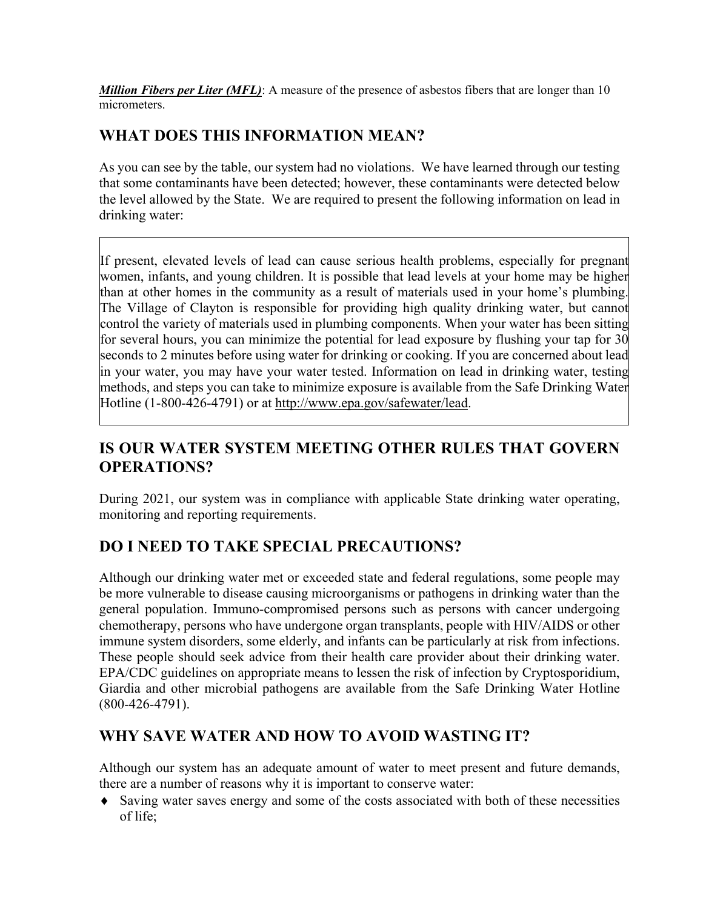*Million Fibers per Liter (MFL)*: A measure of the presence of asbestos fibers that are longer than 10 micrometers.

## **WHAT DOES THIS INFORMATION MEAN?**

As you can see by the table, our system had no violations. We have learned through our testing that some contaminants have been detected; however, these contaminants were detected below the level allowed by the State. We are required to present the following information on lead in drinking water:

If present, elevated levels of lead can cause serious health problems, especially for pregnant women, infants, and young children. It is possible that lead levels at your home may be higher than at other homes in the community as a result of materials used in your home's plumbing. The Village of Clayton is responsible for providing high quality drinking water, but cannot control the variety of materials used in plumbing components. When your water has been sitting for several hours, you can minimize the potential for lead exposure by flushing your tap for 30 seconds to 2 minutes before using water for drinking or cooking. If you are concerned about lead in your water, you may have your water tested. Information on lead in drinking water, testing methods, and steps you can take to minimize exposure is available from the Safe Drinking Water Hotline (1-800-426-4791) or at http://www.epa.gov/safewater/lead.

# **IS OUR WATER SYSTEM MEETING OTHER RULES THAT GOVERN OPERATIONS?**

During 2021, our system was in compliance with applicable State drinking water operating, monitoring and reporting requirements.

## **DO I NEED TO TAKE SPECIAL PRECAUTIONS?**

Although our drinking water met or exceeded state and federal regulations, some people may be more vulnerable to disease causing microorganisms or pathogens in drinking water than the general population. Immuno-compromised persons such as persons with cancer undergoing chemotherapy, persons who have undergone organ transplants, people with HIV/AIDS or other immune system disorders, some elderly, and infants can be particularly at risk from infections. These people should seek advice from their health care provider about their drinking water. EPA/CDC guidelines on appropriate means to lessen the risk of infection by Cryptosporidium, Giardia and other microbial pathogens are available from the Safe Drinking Water Hotline (800-426-4791).

## **WHY SAVE WATER AND HOW TO AVOID WASTING IT?**

Although our system has an adequate amount of water to meet present and future demands, there are a number of reasons why it is important to conserve water:

 Saving water saves energy and some of the costs associated with both of these necessities of life;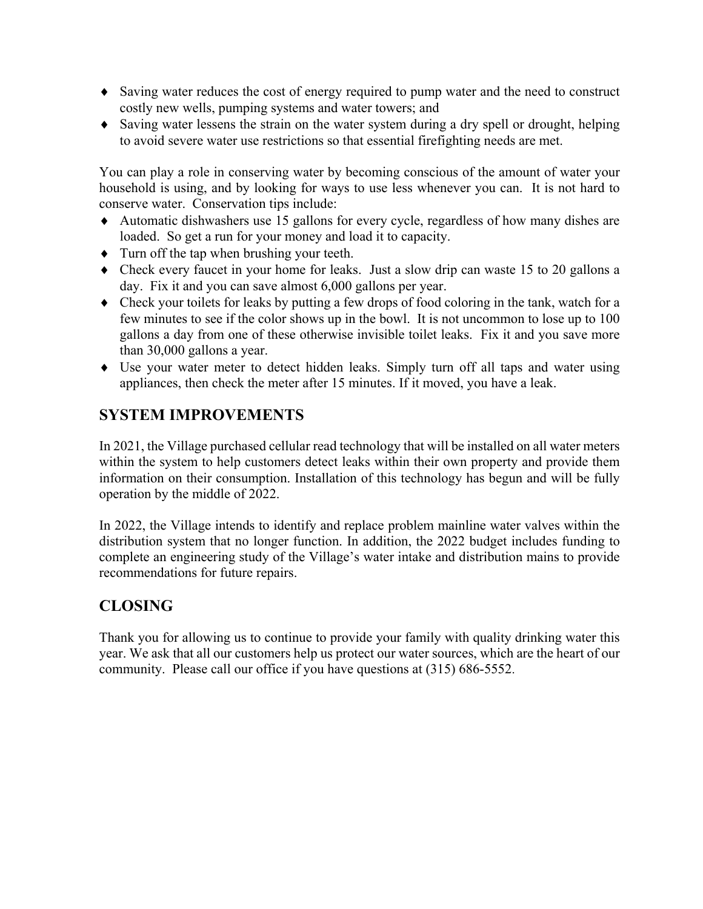- Saving water reduces the cost of energy required to pump water and the need to construct costly new wells, pumping systems and water towers; and
- Saving water lessens the strain on the water system during a dry spell or drought, helping to avoid severe water use restrictions so that essential firefighting needs are met.

You can play a role in conserving water by becoming conscious of the amount of water your household is using, and by looking for ways to use less whenever you can. It is not hard to conserve water. Conservation tips include:

- Automatic dishwashers use 15 gallons for every cycle, regardless of how many dishes are loaded. So get a run for your money and load it to capacity.
- Turn off the tap when brushing your teeth.
- Check every faucet in your home for leaks. Just a slow drip can waste 15 to 20 gallons a day. Fix it and you can save almost 6,000 gallons per year.
- Check your toilets for leaks by putting a few drops of food coloring in the tank, watch for a few minutes to see if the color shows up in the bowl. It is not uncommon to lose up to 100 gallons a day from one of these otherwise invisible toilet leaks. Fix it and you save more than 30,000 gallons a year.
- Use your water meter to detect hidden leaks. Simply turn off all taps and water using appliances, then check the meter after 15 minutes. If it moved, you have a leak.

## **SYSTEM IMPROVEMENTS**

In 2021, the Village purchased cellular read technology that will be installed on all water meters within the system to help customers detect leaks within their own property and provide them information on their consumption. Installation of this technology has begun and will be fully operation by the middle of 2022.

In 2022, the Village intends to identify and replace problem mainline water valves within the distribution system that no longer function. In addition, the 2022 budget includes funding to complete an engineering study of the Village's water intake and distribution mains to provide recommendations for future repairs.

## **CLOSING**

Thank you for allowing us to continue to provide your family with quality drinking water this year. We ask that all our customers help us protect our water sources, which are the heart of our community. Please call our office if you have questions at (315) 686-5552.